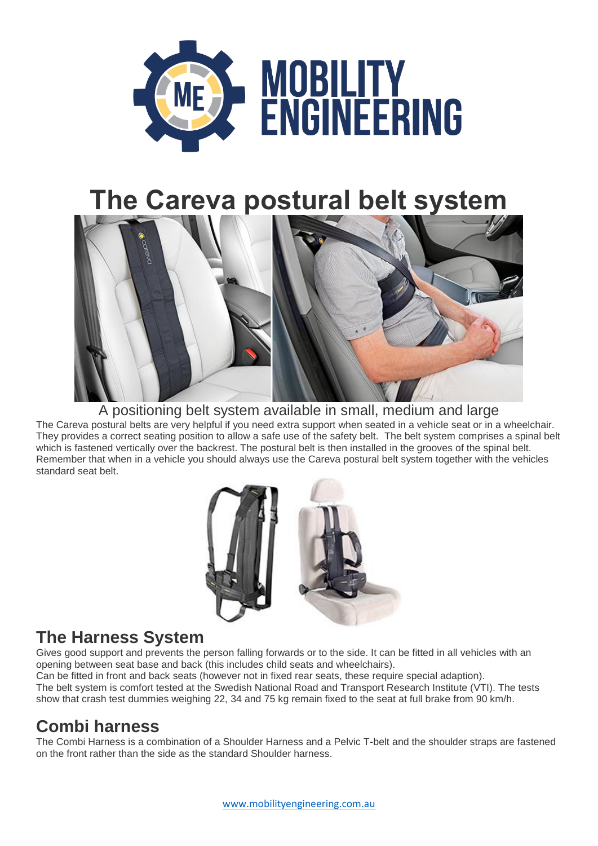

# **The Careva postural belt system**



#### A positioning belt system available in small, medium and large

The Careva postural belts are very helpful if you need extra support when seated in a vehicle seat or in a wheelchair. They provides a correct seating position to allow a safe use of the safety belt. The belt system comprises a spinal belt which is fastened vertically over the backrest. The postural belt is then installed in the grooves of the spinal belt. Remember that when in a vehicle you should always use the Careva postural belt system together with the vehicles standard seat belt.



#### **The Harness System**

Gives good support and prevents the person falling forwards or to the side. It can be fitted in all vehicles with an opening between seat base and back (this includes child seats and wheelchairs).

Can be fitted in front and back seats (however not in fixed rear seats, these require special adaption). The belt system is comfort tested at the Swedish National Road and Transport Research Institute (VTI). The tests show that crash test dummies weighing 22, 34 and 75 kg remain fixed to the seat at full brake from 90 km/h.

## **Combi harness**

The Combi Harness is a combination of a Shoulder Harness and a Pelvic T-belt and the shoulder straps are fastened on the front rather than the side as the standard Shoulder harness.